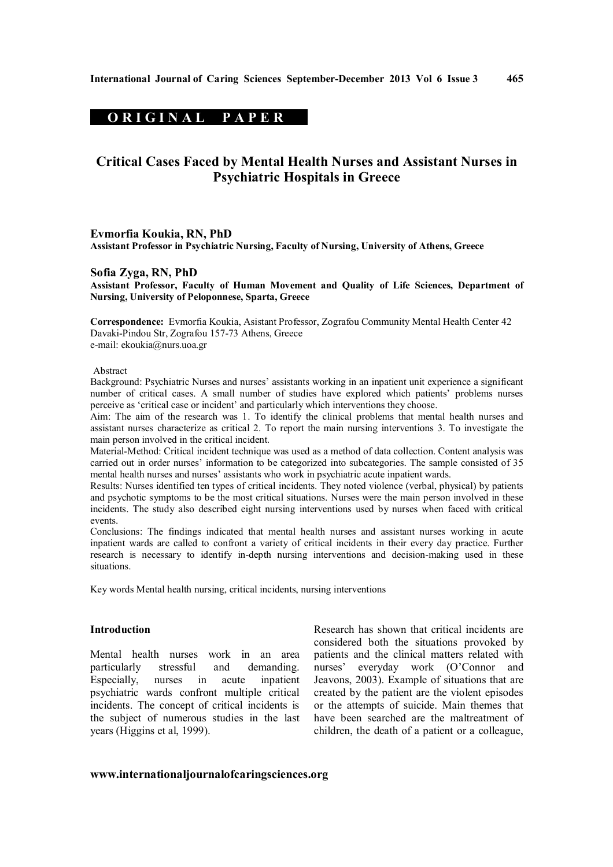# **ORIGINAL PAPER**

# **Critical Cases Faced by Mental Health Nurses and Assistant Nurses in Psychiatric Hospitals in Greece**

#### **Evmorfia Koukia, RN, PhD**

**Assistant Professor in Psychiatric Nursing, Faculty of Nursing, University of Athens, Greece**

### **Sofia Zyga, RN, PhD**

**Assistant Professor, Faculty of Human Movement and Quality of Life Sciences, Department of Nursing, University of Peloponnese, Sparta, Greece**

**Correspondence:** Evmorfia Koukia, Asistant Professor, Zografou Community Mental Health Center 42 Davaki-Pindou Str, Zografou 157-73 Athens, Greece e-mail: ekoukia@nurs.uoa.gr

#### Abstract

Background: Psychiatric Nurses and nurses' assistants working in an inpatient unit experience a significant number of critical cases. A small number of studies have explored which patients' problems nurses perceive as 'critical case or incident' and particularly which interventions they choose.

Aim: The aim of the research was 1. To identify the clinical problems that mental health nurses and assistant nurses characterize as critical 2. To report the main nursing interventions 3. To investigate the main person involved in the critical incident.

Material-Method: Critical incident technique was used as a method of data collection. Content analysis was carried out in order nurses' information to be categorized into subcategories. The sample consisted of 35 mental health nurses and nurses' assistants who work in psychiatric acute inpatient wards.

Results: Nurses identified ten types of critical incidents. They noted violence (verbal, physical) by patients and psychotic symptoms to be the most critical situations. Nurses were the main person involved in these incidents. The study also described eight nursing interventions used by nurses when faced with critical events.

Conclusions: The findings indicated that mental health nurses and assistant nurses working in acute inpatient wards are called to confront a variety of critical incidents in their every day practice. Further research is necessary to identify in-depth nursing interventions and decision-making used in these situations.

Key words Mental health nursing, critical incidents, nursing interventions

# **Introduction**

Mental health nurses work in an area particularly stressful and demanding. Especially, nurses in acute inpatient psychiatric wards confront multiple critical incidents. The concept of critical incidents is the subject of numerous studies in the last years (Higgins et al, 1999).

Research has shown that critical incidents are considered both the situations provoked by patients and the clinical matters related with nurses' everyday work (O'Connor and Jeavons, 2003). Example of situations that are created by the patient are the violent episodes or the attempts of suicide. Main themes that have been searched are the maltreatment of children, the death of a patient or a colleague,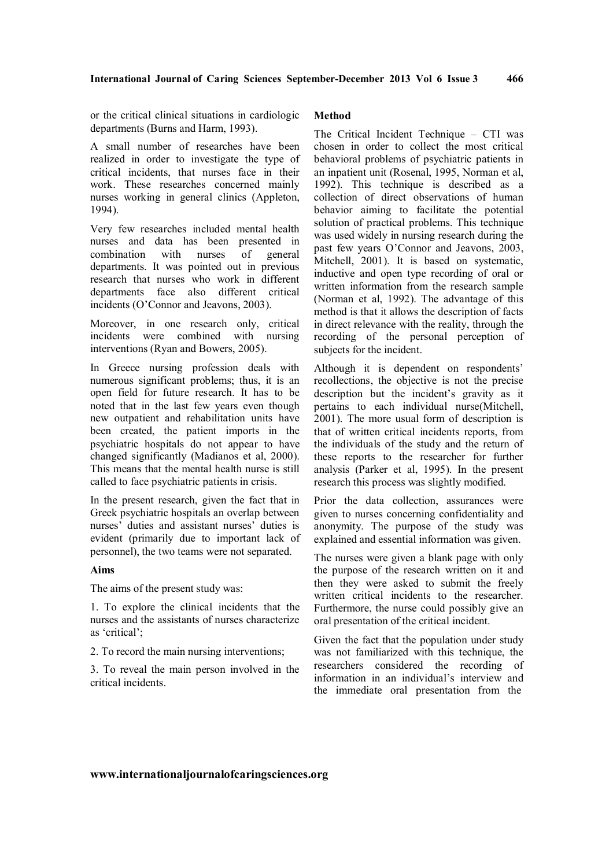or the critical clinical situations in cardiologic departments (Burns and Harm, 1993).

A small number of researches have been realized in order to investigate the type of critical incidents, that nurses face in their work. These researches concerned mainly nurses working in general clinics (Appleton, 1994).

Very few researches included mental health nurses and data has been presented in combination with nurses of general departments. It was pointed out in previous research that nurses who work in different departments face also different critical incidents (O'Connor and Jeavons, 2003).

Moreover, in one research only, critical incidents were combined with nursing interventions (Ryan and Bowers, 2005).

In Greece nursing profession deals with numerous significant problems; thus, it is an open field for future research. It has to be noted that in the last few years even though new outpatient and rehabilitation units have been created, the patient imports in the psychiatric hospitals do not appear to have changed significantly (Madianos et al, 2000). This means that the mental health nurse is still called to face psychiatric patients in crisis.

In the present research, given the fact that in Greek psychiatric hospitals an overlap between nurses' duties and assistant nurses' duties is evident (primarily due to important lack of personnel), the two teams were not separated.

### **Aims**

The aims of the present study was:

1. To explore the clinical incidents that the nurses and the assistants of nurses characterize as 'critical';

2. To record the main nursing interventions;

3. To reveal the main person involved in the critical incidents.

# **Method**

The Critical Incident Technique – CTI was chosen in order to collect the most critical behavioral problems of psychiatric patients in an inpatient unit (Rosenal, 1995, Norman et al, 1992). This technique is described as a collection of direct observations of human behavior aiming to facilitate the potential solution of practical problems. This technique was used widely in nursing research during the past few years O'Connor and Jeavons, 2003, Mitchell, 2001). It is based on systematic, inductive and open type recording of oral or written information from the research sample (Norman et al, 1992). The advantage of this method is that it allows the description of facts in direct relevance with the reality, through the recording of the personal perception of subjects for the incident.

Although it is dependent on respondents' recollections, the objective is not the precise description but the incident's gravity as it pertains to each individual nurse(Mitchell, 2001). The more usual form of description is that of written critical incidents reports, from the individuals of the study and the return of these reports to the researcher for further analysis (Parker et al, 1995). In the present research this process was slightly modified.

Prior the data collection, assurances were given to nurses concerning confidentiality and anonymity. The purpose of the study was explained and essential information was given.

The nurses were given a blank page with only the purpose of the research written on it and then they were asked to submit the freely written critical incidents to the researcher. Furthermore, the nurse could possibly give an oral presentation of the critical incident.

Given the fact that the population under study was not familiarized with this technique, the researchers considered the recording of information in an individual's interview and the immediate oral presentation from the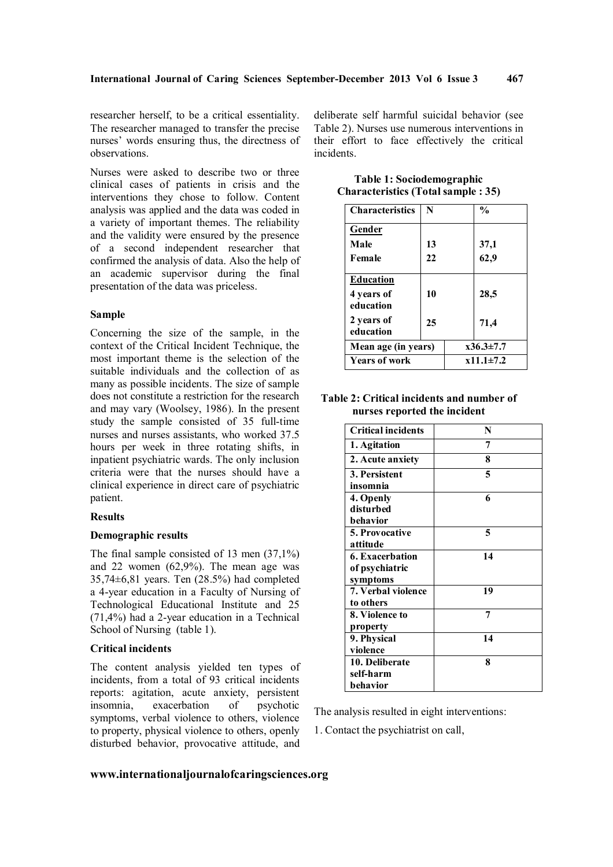researcher herself, to be a critical essentiality. The researcher managed to transfer the precise nurses' words ensuring thus, the directness of observations.

Nurses were asked to describe two or three clinical cases of patients in crisis and the interventions they chose to follow. Content analysis was applied and the data was coded in a variety of important themes. The reliability and the validity were ensured by the presence of a second independent researcher that confirmed the analysis of data. Also the help of an academic supervisor during the final presentation of the data was priceless.

### **Sample**

Concerning the size of the sample, in the context of the Critical Incident Technique, the most important theme is the selection of the suitable individuals and the collection of as many as possible incidents. The size of sample does not constitute a restriction for the research and may vary (Woolsey, 1986). In the present study the sample consisted of 35 full-time nurses and nurses assistants, who worked 37.5 hours per week in three rotating shifts, in inpatient psychiatric wards. The only inclusion criteria were that the nurses should have a clinical experience in direct care of psychiatric patient.

### **Results**

### **Demographic results**

The final sample consisted of 13 men (37,1%) and 22 women (62,9%). The mean age was 35,74±6,81 years. Ten (28.5%) had completed a 4-year education in a Faculty of Nursing of Technological Educational Institute and 25 (71,4%) had a 2-year education in a Technical School of Nursing (table 1).

### **Critical incidents**

The content analysis yielded ten types of incidents, from a total of 93 critical incidents reports: agitation, acute anxiety, persistent insomnia, exacerbation of psychotic symptoms, verbal violence to others, violence to property, physical violence to others, openly disturbed behavior, provocative attitude, and deliberate self harmful suicidal behavior (see Table 2). Nurses use numerous interventions in their effort to face effectively the critical incidents.

| <b>Characteristics</b>  | N  | $\frac{0}{0}$   |
|-------------------------|----|-----------------|
| Gender                  |    |                 |
| Male                    | 13 | 37,1            |
| Female                  | 22 | 62,9            |
| <b>Education</b>        |    |                 |
| 4 years of<br>education | 10 | 28,5            |
| 2 years of<br>education | 25 | 71,4            |
| Mean age (in years)     |    | $x36.3 \pm 7.7$ |
| <b>Years of work</b>    |    | $x11.1\pm7.2$   |

**Table 1: Sociodemographic Characteristics (Total sample : 35)**

# **Table 2: Critical incidents and number of nurses reported the incident**

| <b>Critical incidents</b> | N  |
|---------------------------|----|
| 1. Agitation              | 7  |
| 2. Acute anxiety          | 8  |
| 3. Persistent             | 5  |
| insomnia                  |    |
| 4. Openly                 | 6  |
| disturbed                 |    |
| behavior                  |    |
| 5. Provocative            | 5  |
| attitude                  |    |
| <b>6. Exacerbation</b>    | 14 |
| of psychiatric            |    |
| symptoms                  |    |
| 7. Verbal violence        | 19 |
| to others                 |    |
| 8. Violence to            | 7  |
| property                  |    |
| 9. Physical               | 14 |
| violence                  |    |
| 10. Deliberate            | 8  |
| self-harm                 |    |
| behavior                  |    |

The analysis resulted in eight interventions:

1. Contact the psychiatrist on call,

### **www.internationaljournalofcaringsciences.org**

**467**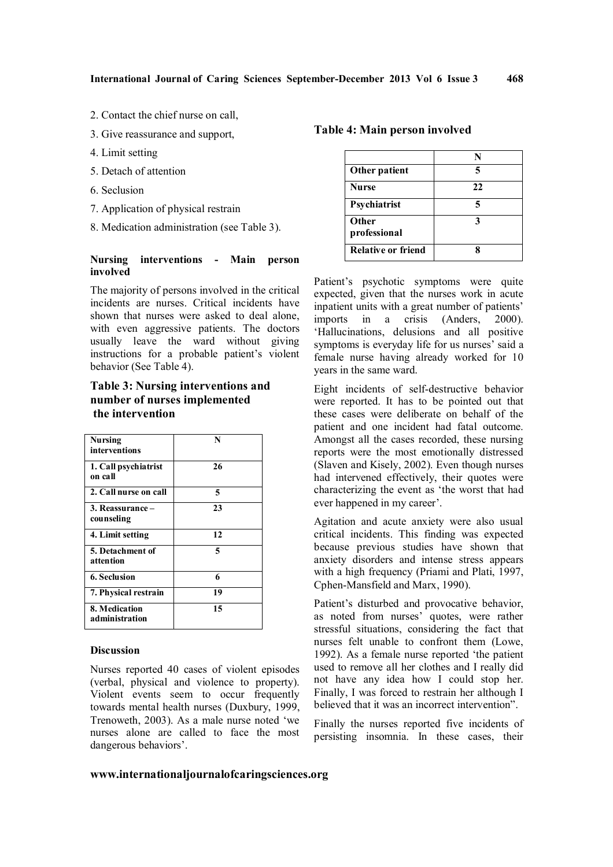- 2. Contact the chief nurse on call,
- 3. Give reassurance and support,
- 4. Limit setting
- 5. Detach of attention
- 6. Seclusion
- 7. Application of physical restrain
- 8. Medication administration (see Table 3).

#### **Nursing interventions - Main person involved**

The majority of persons involved in the critical incidents are nurses. Critical incidents have shown that nurses were asked to deal alone, with even aggressive patients. The doctors usually leave the ward without giving instructions for a probable patient's violent behavior (See Table 4).

# **Table 3: Nursing interventions and number of nurses implemented the intervention**

| Nursing<br>interventions        | N  |
|---------------------------------|----|
| 1. Call psychiatrist<br>on call | 26 |
| 2. Call nurse on call           | 5  |
| 3. Reassurance -<br>counseling  | 23 |
| 4. Limit setting                | 12 |
| 5. Detachment of<br>attention   | 5  |
| <b>6. Seclusion</b>             | 6  |
| 7. Physical restrain            | 19 |
| 8. Medication<br>administration | 15 |

#### **Discussion**

Nurses reported 40 cases of violent episodes (verbal, physical and violence to property). Violent events seem to occur frequently towards mental health nurses (Duxbury, 1999, Trenoweth, 2003). As a male nurse noted 'we nurses alone are called to face the most dangerous behaviors'.

# **Table 4: Main person involved**

| Other patient             |    |
|---------------------------|----|
| <b>Nurse</b>              | 22 |
| Psychiatrist              |    |
| Other<br>professional     |    |
| <b>Relative or friend</b> |    |

**468**

Patient's psychotic symptoms were quite expected, given that the nurses work in acute inpatient units with a great number of patients' imports in a crisis (Anders, 2000). 'Hallucinations, delusions and all positive symptoms is everyday life for us nurses' said a female nurse having already worked for 10 years in the same ward.

Eight incidents of self-destructive behavior were reported. It has to be pointed out that these cases were deliberate on behalf of the patient and one incident had fatal outcome. Amongst all the cases recorded, these nursing reports were the most emotionally distressed (Slaven and Kisely, 2002). Even though nurses had intervened effectively, their quotes were characterizing the event as 'the worst that had ever happened in my career'.

Agitation and acute anxiety were also usual critical incidents. This finding was expected because previous studies have shown that anxiety disorders and intense stress appears with a high frequency (Priami and Plati, 1997, Cphen-Mansfield and Marx, 1990).

Patient's disturbed and provocative behavior, as noted from nurses' quotes, were rather stressful situations, considering the fact that nurses felt unable to confront them (Lowe, 1992). As a female nurse reported 'the patient used to remove all her clothes and I really did not have any idea how I could stop her. Finally, I was forced to restrain her although I believed that it was an incorrect intervention".

Finally the nurses reported five incidents of persisting insomnia. In these cases, their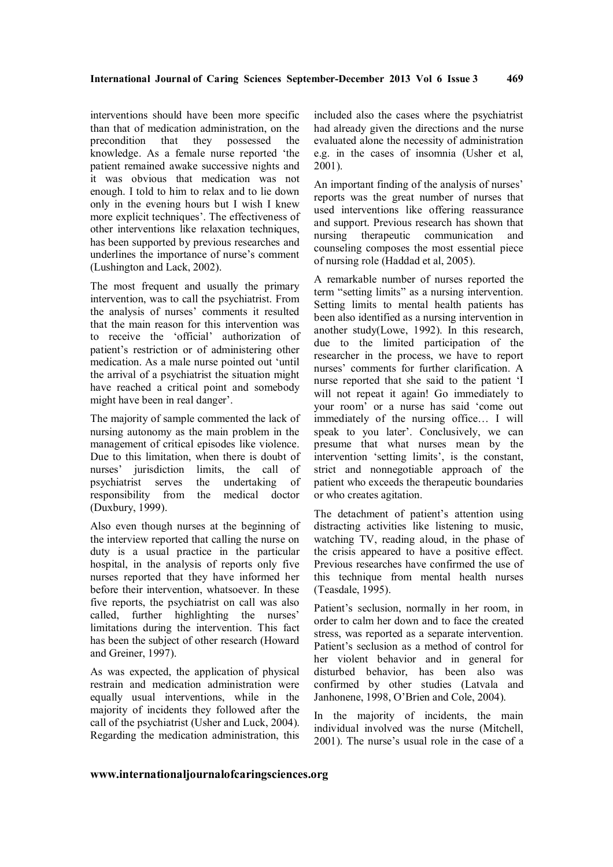interventions should have been more specific than that of medication administration, on the precondition that they possessed the knowledge. As a female nurse reported 'the patient remained awake successive nights and it was obvious that medication was not enough. I told to him to relax and to lie down only in the evening hours but I wish I knew more explicit techniques'. The effectiveness of other interventions like relaxation techniques, has been supported by previous researches and underlines the importance of nurse's comment (Lushington and Lack, 2002).

The most frequent and usually the primary intervention, was to call the psychiatrist. From the analysis of nurses' comments it resulted that the main reason for this intervention was to receive the 'official' authorization of patient's restriction or of administering other medication. As a male nurse pointed out 'until the arrival of a psychiatrist the situation might have reached a critical point and somebody might have been in real danger'.

The majority of sample commented the lack of nursing autonomy as the main problem in the management of critical episodes like violence. Due to this limitation, when there is doubt of nurses' jurisdiction limits, the call of psychiatrist serves the undertaking of responsibility from the medical doctor (Duxbury, 1999).

Also even though nurses at the beginning of the interview reported that calling the nurse on duty is a usual practice in the particular hospital, in the analysis of reports only five nurses reported that they have informed her before their intervention, whatsoever. In these five reports, the psychiatrist on call was also called, further highlighting the nurses' limitations during the intervention. This fact has been the subject of other research (Howard and Greiner, 1997).

As was expected, the application of physical restrain and medication administration were equally usual interventions, while in the majority of incidents they followed after the call of the psychiatrist (Usher and Luck, 2004). Regarding the medication administration, this

included also the cases where the psychiatrist had already given the directions and the nurse evaluated alone the necessity of administration e.g. in the cases of insomnia (Usher et al, 2001).

**469**

An important finding of the analysis of nurses' reports was the great number of nurses that used interventions like offering reassurance and support. Previous research has shown that nursing therapeutic communication and counseling composes the most essential piece of nursing role (Haddad et al, 2005).

A remarkable number of nurses reported the term "setting limits" as a nursing intervention. Setting limits to mental health patients has been also identified as a nursing intervention in another study(Lowe, 1992). In this research, due to the limited participation of the researcher in the process, we have to report nurses' comments for further clarification. A nurse reported that she said to the patient 'I will not repeat it again! Go immediately to your room' or a nurse has said 'come out immediately of the nursing office… I will speak to you later'. Conclusively, we can presume that what nurses mean by the intervention 'setting limits', is the constant, strict and nonnegotiable approach of the patient who exceeds the therapeutic boundaries or who creates agitation.

The detachment of patient's attention using distracting activities like listening to music, watching TV, reading aloud, in the phase of the crisis appeared to have a positive effect. Previous researches have confirmed the use of this technique from mental health nurses (Teasdale, 1995).

Patient's seclusion, normally in her room, in order to calm her down and to face the created stress, was reported as a separate intervention. Patient's seclusion as a method of control for her violent behavior and in general for disturbed behavior, has been also was confirmed by other studies (Latvala and Janhonene, 1998, O'Brien and Cole, 2004).

In the majority of incidents, the main individual involved was the nurse (Mitchell, 2001). The nurse's usual role in the case of a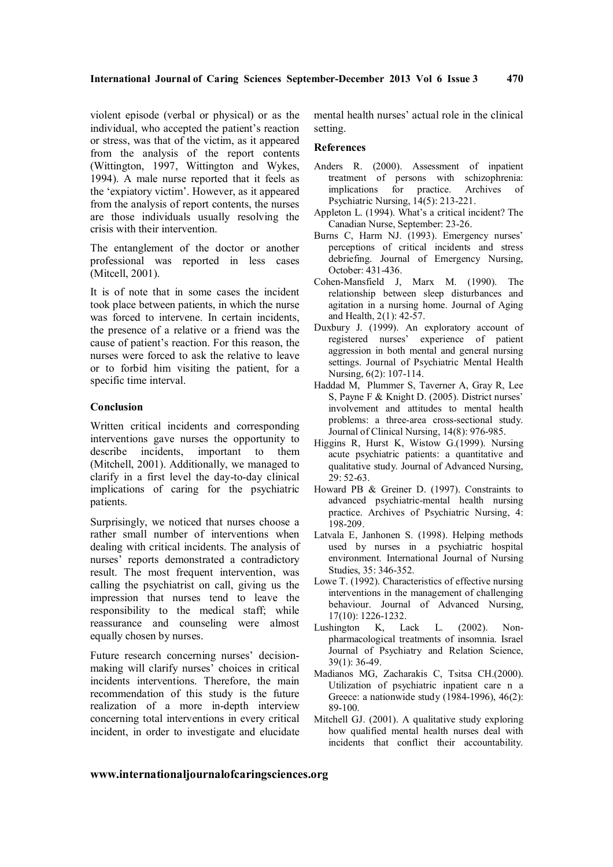violent episode (verbal or physical) or as the individual, who accepted the patient's reaction or stress, was that of the victim, as it appeared from the analysis of the report contents (Wittington, 1997, Wittington and Wykes, 1994). A male nurse reported that it feels as the 'expiatory victim'. However, as it appeared from the analysis of report contents, the nurses are those individuals usually resolving the crisis with their intervention.

The entanglement of the doctor or another professional was reported in less cases (Mitcell, 2001).

It is of note that in some cases the incident took place between patients, in which the nurse was forced to intervene. In certain incidents, the presence of a relative or a friend was the cause of patient's reaction. For this reason, the nurses were forced to ask the relative to leave or to forbid him visiting the patient, for a specific time interval.

### **Conclusion**

Written critical incidents and corresponding interventions gave nurses the opportunity to describe incidents, important to them (Mitchell, 2001). Additionally, we managed to clarify in a first level the day-to-day clinical implications of caring for the psychiatric patients.

Surprisingly, we noticed that nurses choose a rather small number of interventions when dealing with critical incidents. The analysis of nurses' reports demonstrated a contradictory result. The most frequent intervention, was calling the psychiatrist on call, giving us the impression that nurses tend to leave the responsibility to the medical staff; while reassurance and counseling were almost equally chosen by nurses.

Future research concerning nurses' decisionmaking will clarify nurses' choices in critical incidents interventions. Therefore, the main recommendation of this study is the future realization of a more in-depth interview concerning total interventions in every critical incident, in order to investigate and elucidate

mental health nurses' actual role in the clinical setting.

### **References**

- Anders R. (2000). Assessment of inpatient treatment of persons with schizophrenia: implications for practice. Archives of Psychiatric Nursing, 14(5): 213-221.
- Appleton L. (1994). What's a critical incident? The Canadian Nurse, September: 23-26.
- Burns C, Harm NJ. (1993). Emergency nurses' perceptions of critical incidents and stress debriefing. Journal of Emergency Nursing, October: 431-436.
- Cohen-Mansfield J, Marx M. (1990). The relationship between sleep disturbances and agitation in a nursing home. Journal of Aging and Health, 2(1): 42-57.
- Duxbury J. (1999). An exploratory account of registered nurses' experience of patient aggression in both mental and general nursing settings. Journal of Psychiatric Mental Health Nursing, 6(2): 107-114.
- Haddad M, Plummer S, Taverner A, Gray R, Lee S, Payne F & Knight D. (2005). District nurses' involvement and attitudes to mental health problems: a three-area cross-sectional study. Journal of Clinical Nursing, 14(8): 976-985.
- Higgins R, Hurst K, Wistow G.(1999). Nursing acute psychiatric patients: a quantitative and qualitative study. Journal of Advanced Nursing, 29: 52-63.
- Howard PB & Greiner D. (1997). Constraints to advanced psychiatric-mental health nursing practice. Archives of Psychiatric Nursing, 4: 198-209.
- Latvala E, Janhonen S. (1998). Helping methods used by nurses in a psychiatric hospital environment. International Journal of Nursing Studies, 35: 346-352.
- Lowe T. (1992). Characteristics of effective nursing interventions in the management of challenging behaviour. Journal of Advanced Nursing, 17(10): 1226-1232.
- Lushington K, Lack L. (2002). Nonpharmacological treatments of insomnia. Israel Journal of Psychiatry and Relation Science, 39(1): 36-49.
- Madianos MG, Zacharakis C, Tsitsa CH.(2000). Utilization of psychiatric inpatient care n a Greece: a nationwide study (1984-1996), 46(2): 89-100.
- Mitchell GJ. (2001). A qualitative study exploring how qualified mental health nurses deal with incidents that conflict their accountability.